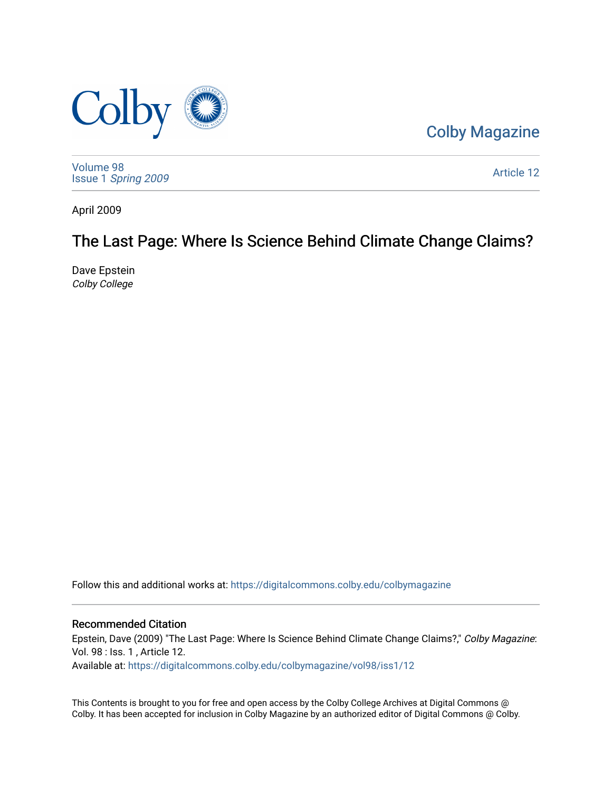

[Colby Magazine](https://digitalcommons.colby.edu/colbymagazine) 

[Volume 98](https://digitalcommons.colby.edu/colbymagazine/vol98) Issue 1 [Spring 2009](https://digitalcommons.colby.edu/colbymagazine/vol98/iss1) 

[Article 12](https://digitalcommons.colby.edu/colbymagazine/vol98/iss1/12) 

April 2009

## The Last Page: Where Is Science Behind Climate Change Claims?

Dave Epstein Colby College

Follow this and additional works at: [https://digitalcommons.colby.edu/colbymagazine](https://digitalcommons.colby.edu/colbymagazine?utm_source=digitalcommons.colby.edu%2Fcolbymagazine%2Fvol98%2Fiss1%2F12&utm_medium=PDF&utm_campaign=PDFCoverPages)

## Recommended Citation

Epstein, Dave (2009) "The Last Page: Where Is Science Behind Climate Change Claims?," Colby Magazine: Vol. 98 : Iss. 1 , Article 12.

Available at: [https://digitalcommons.colby.edu/colbymagazine/vol98/iss1/12](https://digitalcommons.colby.edu/colbymagazine/vol98/iss1/12?utm_source=digitalcommons.colby.edu%2Fcolbymagazine%2Fvol98%2Fiss1%2F12&utm_medium=PDF&utm_campaign=PDFCoverPages) 

This Contents is brought to you for free and open access by the Colby College Archives at Digital Commons @ Colby. It has been accepted for inclusion in Colby Magazine by an authorized editor of Digital Commons @ Colby.